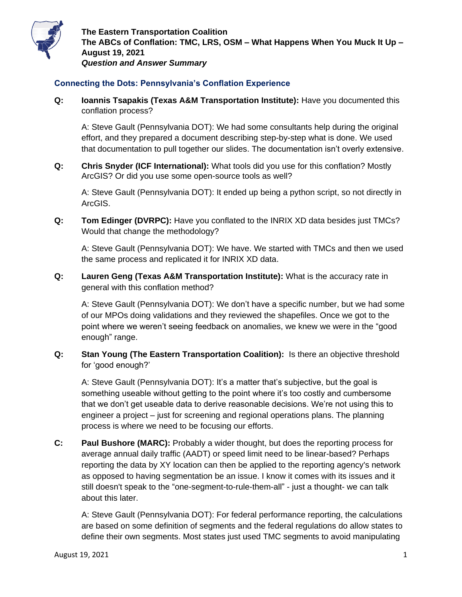

## **Connecting the Dots: Pennsylvania's Conflation Experience**

**Q: Ioannis Tsapakis (Texas A&M Transportation Institute):** Have you documented this conflation process?

A: Steve Gault (Pennsylvania DOT): We had some consultants help during the original effort, and they prepared a document describing step-by-step what is done. We used that documentation to pull together our slides. The documentation isn't overly extensive.

**Q: Chris Snyder (ICF International):** What tools did you use for this conflation? Mostly ArcGIS? Or did you use some open-source tools as well?

A: Steve Gault (Pennsylvania DOT): It ended up being a python script, so not directly in ArcGIS.

**Q: Tom Edinger (DVRPC):** Have you conflated to the INRIX XD data besides just TMCs? Would that change the methodology?

A: Steve Gault (Pennsylvania DOT): We have. We started with TMCs and then we used the same process and replicated it for INRIX XD data.

**Q: Lauren Geng (Texas A&M Transportation Institute):** What is the accuracy rate in general with this conflation method?

A: Steve Gault (Pennsylvania DOT): We don't have a specific number, but we had some of our MPOs doing validations and they reviewed the shapefiles. Once we got to the point where we weren't seeing feedback on anomalies, we knew we were in the "good enough" range.

**Q: Stan Young (The Eastern Transportation Coalition):** Is there an objective threshold for 'good enough?'

A: Steve Gault (Pennsylvania DOT): It's a matter that's subjective, but the goal is something useable without getting to the point where it's too costly and cumbersome that we don't get useable data to derive reasonable decisions. We're not using this to engineer a project – just for screening and regional operations plans. The planning process is where we need to be focusing our efforts.

**C: Paul Bushore (MARC):** Probably a wider thought, but does the reporting process for average annual daily traffic (AADT) or speed limit need to be linear-based? Perhaps reporting the data by XY location can then be applied to the reporting agency's network as opposed to having segmentation be an issue. I know it comes with its issues and it still doesn't speak to the "one-segment-to-rule-them-all" - just a thought- we can talk about this later.

A: Steve Gault (Pennsylvania DOT): For federal performance reporting, the calculations are based on some definition of segments and the federal regulations do allow states to define their own segments. Most states just used TMC segments to avoid manipulating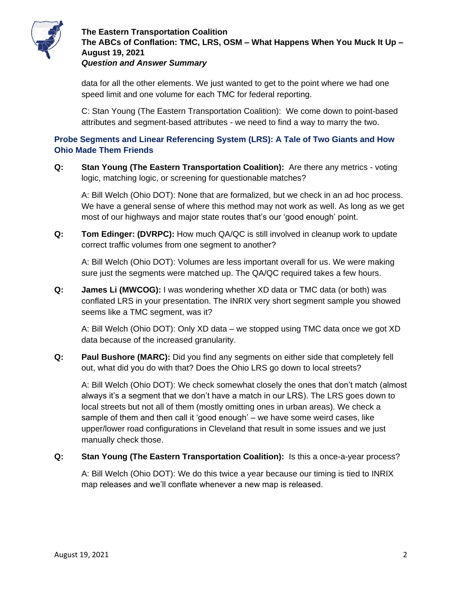

## **The Eastern Transportation Coalition The ABCs of Conflation: TMC, LRS, OSM – What Happens When You Muck It Up – August 19, 2021** *Question and Answer Summary*

data for all the other elements. We just wanted to get to the point where we had one speed limit and one volume for each TMC for federal reporting.

C: Stan Young (The Eastern Transportation Coalition): We come down to point-based attributes and segment-based attributes - we need to find a way to marry the two.

## **Probe Segments and Linear Referencing System (LRS): A Tale of Two Giants and How Ohio Made Them Friends**

**Q: Stan Young (The Eastern Transportation Coalition):** Are there any metrics - voting logic, matching logic, or screening for questionable matches?

A: Bill Welch (Ohio DOT): None that are formalized, but we check in an ad hoc process. We have a general sense of where this method may not work as well. As long as we get most of our highways and major state routes that's our 'good enough' point.

**Q: Tom Edinger: (DVRPC):** How much QA/QC is still involved in cleanup work to update correct traffic volumes from one segment to another?

A: Bill Welch (Ohio DOT): Volumes are less important overall for us. We were making sure just the segments were matched up. The QA/QC required takes a few hours.

**Q: James Li (MWCOG):** I was wondering whether XD data or TMC data (or both) was conflated LRS in your presentation. The INRIX very short segment sample you showed seems like a TMC segment, was it?

A: Bill Welch (Ohio DOT): Only XD data – we stopped using TMC data once we got XD data because of the increased granularity.

**Q: Paul Bushore (MARC):** Did you find any segments on either side that completely fell out, what did you do with that? Does the Ohio LRS go down to local streets?

A: Bill Welch (Ohio DOT): We check somewhat closely the ones that don't match (almost always it's a segment that we don't have a match in our LRS). The LRS goes down to local streets but not all of them (mostly omitting ones in urban areas). We check a sample of them and then call it 'good enough' – we have some weird cases, like upper/lower road configurations in Cleveland that result in some issues and we just manually check those.

**Q: Stan Young (The Eastern Transportation Coalition):** Is this a once-a-year process?

A: Bill Welch (Ohio DOT): We do this twice a year because our timing is tied to INRIX map releases and we'll conflate whenever a new map is released.